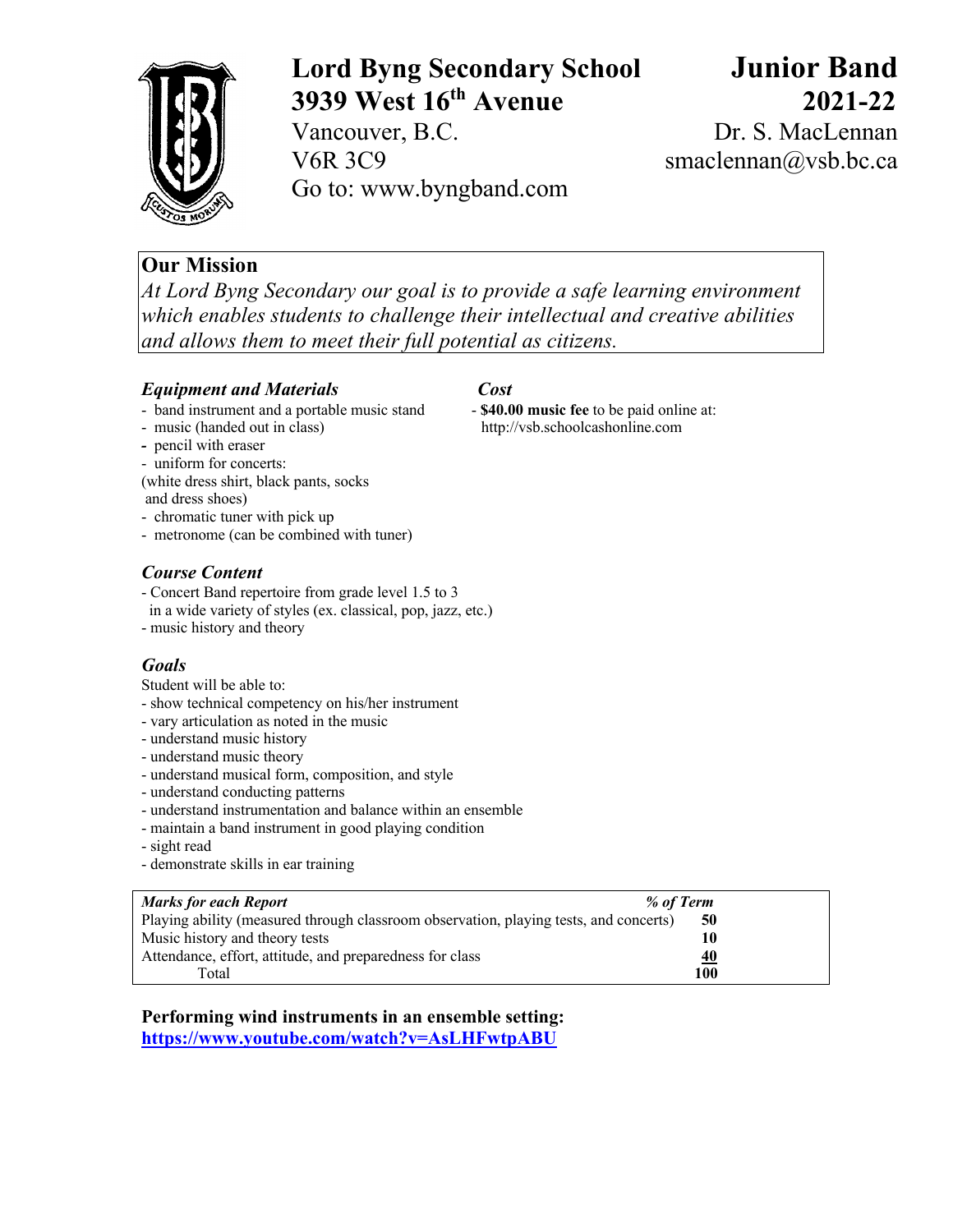

# **Lord Byng Secondary School Junior Band 3939 West 16th Avenue 2021-22**

Vancouver, B.C. Dr. S. MacLennan V6R 3C9 smaclennan@vsb.bc.ca Go to: www.byngband.com

# **Our Mission**

*At Lord Byng Secondary our goal is to provide a safe learning environment which enables students to challenge their intellectual and creative abilities and allows them to meet their full potential as citizens.*

## *Equipment and Materials Cost*

- band instrument and a portable music stand **\$40.00 music fee** to be paid online at:
- 
- pencil with eraser
- uniform for concerts:
- (white dress shirt, black pants, socks and dress shoes)
- chromatic tuner with pick up
- metronome (can be combined with tuner)

# *Course Content*

- Concert Band repertoire from grade level 1.5 to 3
- in a wide variety of styles (ex. classical, pop, jazz, etc.)
- music history and theory

# *Goals*

- Student will be able to:
- show technical competency on his/her instrument
- vary articulation as noted in the music
- understand music history
- understand music theory
- understand musical form, composition, and style
- understand conducting patterns
- understand instrumentation and balance within an ensemble
- maintain a band instrument in good playing condition
- sight read
- demonstrate skills in ear training

#### *Marks for each Report % of Term* Playing ability (measured through classroom observation, playing tests, and concerts) **50** Music history and theory tests **10** Attendance, effort, attitude, and preparedness for class **40** Total **100**

**Performing wind instruments in an ensemble setting: https://www.youtube.com/watch?v=AsLHFwtpABU**

- music (handed out in class) http://vsb.schoolcashonline.com